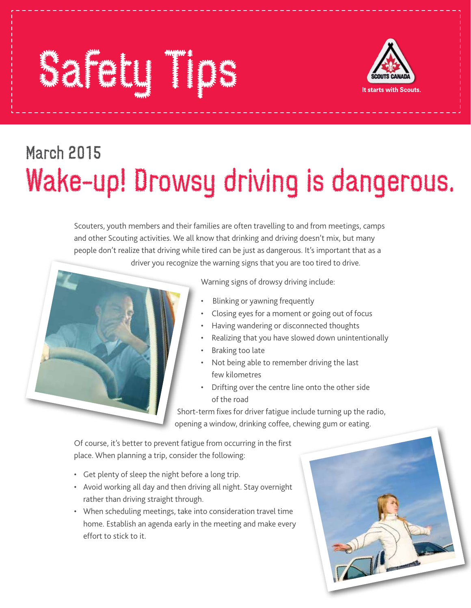## Safety Times Times Times Times Times Times Times Times Times Times Times Times Times Times Times Times Times T



## March 2015 Wake-up! Drowsy driving is dangerous.

Scouters, youth members and their families are often travelling to and from meetings, camps and other Scouting activities. We all know that drinking and driving doesn't mix, but many people don't realize that driving while tired can be just as dangerous. It's important that as a driver you recognize the warning signs that you are too tired to drive.



Warning signs of drowsy driving include:

- Blinking or yawning frequently
- Closing eyes for a moment or going out of focus
- Having wandering or disconnected thoughts
- Realizing that you have slowed down unintentionally
- Braking too late
- Not being able to remember driving the last few kilometres
- Drifting over the centre line onto the other side of the road

Short-term fixes for driver fatigue include turning up the radio, opening a window, drinking coffee, chewing gum or eating.

Of course, it's better to prevent fatigue from occurring in the first place. When planning a trip, consider the following:

- Get plenty of sleep the night before a long trip.
- Avoid working all day and then driving all night. Stay overnight rather than driving straight through.
- When scheduling meetings, take into consideration travel time home. Establish an agenda early in the meeting and make every effort to stick to it.